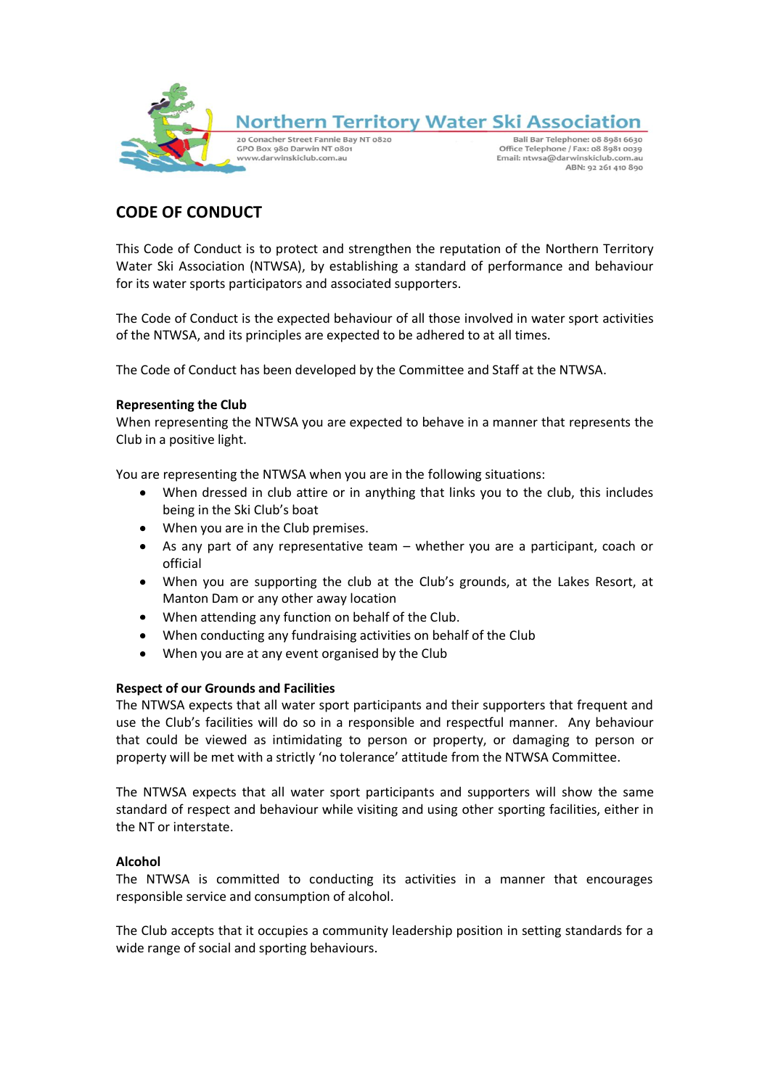

# **CODE OF CONDUCT**

This Code of Conduct is to protect and strengthen the reputation of the Northern Territory Water Ski Association (NTWSA), by establishing a standard of performance and behaviour for its water sports participators and associated supporters.

The Code of Conduct is the expected behaviour of all those involved in water sport activities of the NTWSA, and its principles are expected to be adhered to at all times.

The Code of Conduct has been developed by the Committee and Staff at the NTWSA.

## **Representing the Club**

When representing the NTWSA you are expected to behave in a manner that represents the Club in a positive light.

You are representing the NTWSA when you are in the following situations:

- When dressed in club attire or in anything that links you to the club, this includes being in the Ski Club's boat
- When you are in the Club premises.
- As any part of any representative team whether you are a participant, coach or  $\bullet$ official
- When you are supporting the club at the Club's grounds, at the Lakes Resort, at  $\bullet$ Manton Dam or any other away location
- $\bullet$ When attending any function on behalf of the Club.
- When conducting any fundraising activities on behalf of the Club
- When you are at any event organised by the Club

## **Respect of our Grounds and Facilities**

The NTWSA expects that all water sport participants and their supporters that frequent and use the Club's facilities will do so in a responsible and respectful manner. Any behaviour that could be viewed as intimidating to person or property, or damaging to person or property will be met with a strictly 'no tolerance' attitude from the NTWSA Committee.

The NTWSA expects that all water sport participants and supporters will show the same standard of respect and behaviour while visiting and using other sporting facilities, either in the NT or interstate.

## **Alcohol**

The NTWSA is committed to conducting its activities in a manner that encourages responsible service and consumption of alcohol.

The Club accepts that it occupies a community leadership position in setting standards for a wide range of social and sporting behaviours.